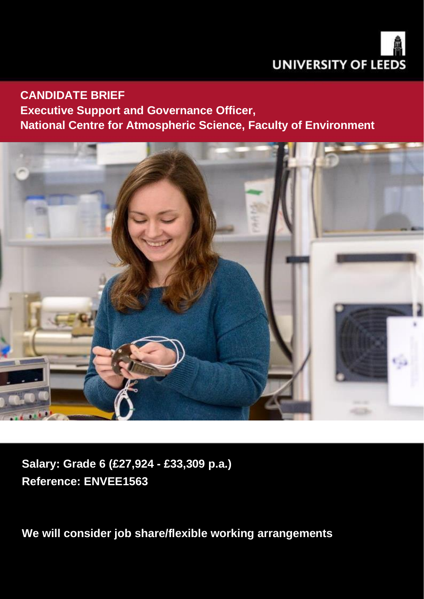

### **CANDIDATE BRIEF**

## **Executive Support and Governance Officer, National Centre for Atmospheric Science, Faculty of Environment**



**Salary: Grade 6 (£27,924 - £33,309 p.a.) Reference: ENVEE1563**

We will consider job share/flexible working arrangements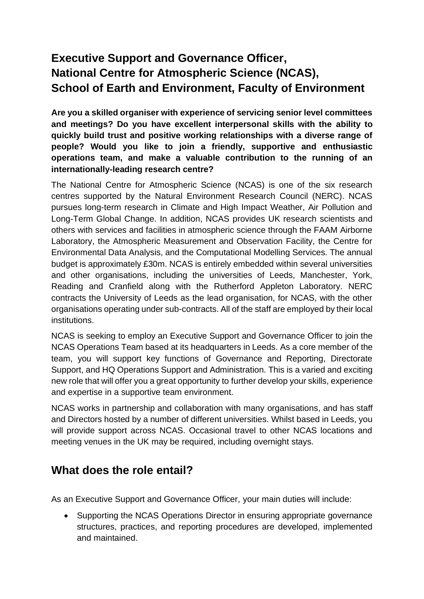## **Executive Support and Governance Officer, National Centre for Atmospheric Science (NCAS), School of Earth and Environment, Faculty of Environment**

**Are you a skilled organiser with experience of servicing senior level committees and meetings? Do you have excellent interpersonal skills with the ability to quickly build trust and positive working relationships with a diverse range of people? Would you like to join a friendly, supportive and enthusiastic operations team, and make a valuable contribution to the running of an internationally-leading research centre?**

The National Centre for Atmospheric Science (NCAS) is one of the six research centres supported by the Natural Environment Research Council (NERC). NCAS pursues long-term research in Climate and High Impact Weather, Air Pollution and Long-Term Global Change. In addition, NCAS provides UK research scientists and others with services and facilities in atmospheric science through the FAAM Airborne Laboratory, the Atmospheric Measurement and Observation Facility, the Centre for Environmental Data Analysis, and the Computational Modelling Services. The annual budget is approximately £30m. NCAS is entirely embedded within several universities and other organisations, including the universities of Leeds, Manchester, York, Reading and Cranfield along with the Rutherford Appleton Laboratory. NERC contracts the University of Leeds as the lead organisation, for NCAS, with the other organisations operating under sub-contracts. All of the staff are employed by their local institutions.

NCAS is seeking to employ an Executive Support and Governance Officer to join the NCAS Operations Team based at its headquarters in Leeds. As a core member of the team, you will support key functions of Governance and Reporting, Directorate Support, and HQ Operations Support and Administration. This is a varied and exciting new role that will offer you a great opportunity to further develop your skills, experience and expertise in a supportive team environment.

NCAS works in partnership and collaboration with many organisations, and has staff and Directors hosted by a number of different universities. Whilst based in Leeds, you will provide support across NCAS. Occasional travel to other NCAS locations and meeting venues in the UK may be required, including overnight stays.

### **What does the role entail?**

As an Executive Support and Governance Officer, your main duties will include:

• Supporting the NCAS Operations Director in ensuring appropriate governance structures, practices, and reporting procedures are developed, implemented and maintained.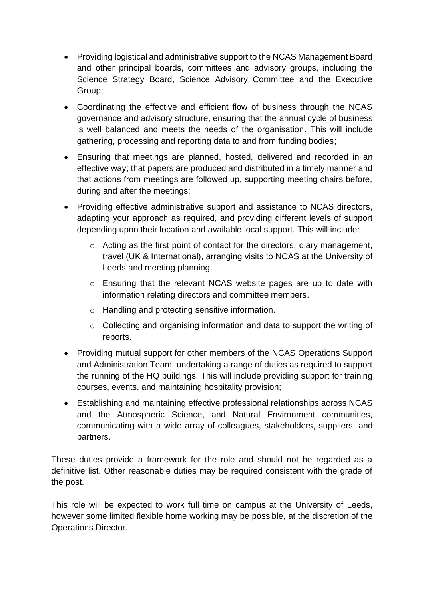- Providing logistical and administrative support to the NCAS Management Board and other principal boards, committees and advisory groups, including the Science Strategy Board, Science Advisory Committee and the Executive Group;
- Coordinating the effective and efficient flow of business through the NCAS governance and advisory structure, ensuring that the annual cycle of business is well balanced and meets the needs of the organisation. This will include gathering, processing and reporting data to and from funding bodies;
- Ensuring that meetings are planned, hosted, delivered and recorded in an effective way; that papers are produced and distributed in a timely manner and that actions from meetings are followed up, supporting meeting chairs before, during and after the meetings;
- Providing effective administrative support and assistance to NCAS directors, adapting your approach as required, and providing different levels of support depending upon their location and available local support. This will include:
	- o Acting as the first point of contact for the directors, diary management, travel (UK & International), arranging visits to NCAS at the University of Leeds and meeting planning.
	- o Ensuring that the relevant NCAS website pages are up to date with information relating directors and committee members.
	- o Handling and protecting sensitive information.
	- o Collecting and organising information and data to support the writing of reports.
- Providing mutual support for other members of the NCAS Operations Support and Administration Team, undertaking a range of duties as required to support the running of the HQ buildings. This will include providing support for training courses, events, and maintaining hospitality provision;
- Establishing and maintaining effective professional relationships across NCAS and the Atmospheric Science, and Natural Environment communities, communicating with a wide array of colleagues, stakeholders, suppliers, and partners.

These duties provide a framework for the role and should not be regarded as a definitive list. Other reasonable duties may be required consistent with the grade of the post.

This role will be expected to work full time on campus at the University of Leeds, however some limited flexible home working may be possible, at the discretion of the Operations Director.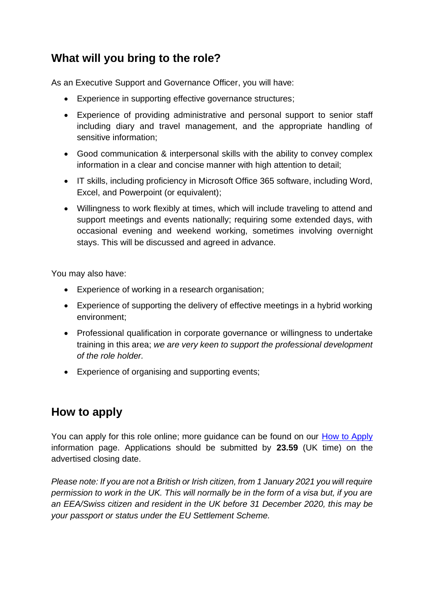## **What will you bring to the role?**

As an Executive Support and Governance Officer, you will have:

- Experience in supporting effective governance structures;
- Experience of providing administrative and personal support to senior staff including diary and travel management, and the appropriate handling of sensitive information;
- Good communication & interpersonal skills with the ability to convey complex information in a clear and concise manner with high attention to detail;
- IT skills, including proficiency in Microsoft Office 365 software, including Word, Excel, and Powerpoint (or equivalent);
- Willingness to work flexibly at times, which will include traveling to attend and support meetings and events nationally; requiring some extended days, with occasional evening and weekend working, sometimes involving overnight stays. This will be discussed and agreed in advance.

You may also have:

- Experience of working in a research organisation;
- Experience of supporting the delivery of effective meetings in a hybrid working environment;
- Professional qualification in corporate governance or willingness to undertake training in this area; *we are very keen to support the professional development of the role holder.*
- Experience of organising and supporting events;

### **How to apply**

You can apply for this role online; more guidance can be found on our [How to Apply](https://jobs.leeds.ac.uk/display.aspx?id=1253&pid=0) information page. Applications should be submitted by **23.59** (UK time) on the advertised closing date.

*Please note: If you are not a British or Irish citizen, from 1 January 2021 you will require permission to work in the UK. This will normally be in the form of a visa but, if you are an EEA/Swiss citizen and resident in the UK before 31 December 2020, this may be your passport or status under the EU Settlement Scheme.*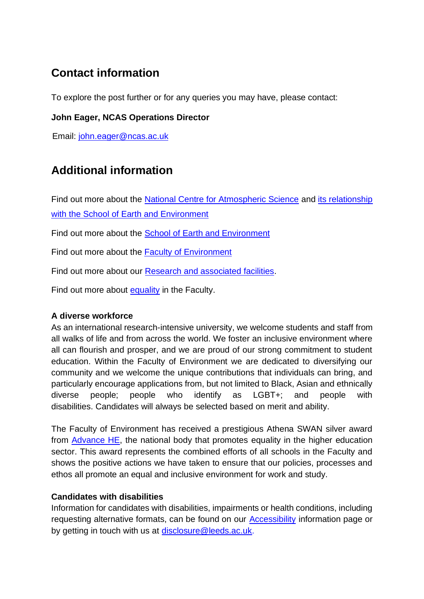# **Contact information**

To explore the post further or for any queries you may have, please contact:

#### **John Eager, NCAS Operations Director**

Email: [john.eager@ncas.ac.uk](mailto:john.eager@ncas.ac.uk)

### **Additional information**

Find out more about the [National Centre for Atmospheric Science](https://ncas.ac.uk/) and [its relationship](https://environment.leeds.ac.uk/institute-climate-atmospheric-science/doc/ncas-research-centre-leeds)  [with the School of Earth and Environment](https://environment.leeds.ac.uk/institute-climate-atmospheric-science/doc/ncas-research-centre-leeds)

Find out more about the [School of Earth and Environment](http://www.see.leeds.ac.uk/home/)

Find out more about the [Faculty of Environment](http://www.environment.leeds.ac.uk/)

Find out more about our [Research and associated facilities.](https://environment.leeds.ac.uk/see-research-innovation)

Find out more about [equality](https://environment.leeds.ac.uk/faculty/doc/equality-inclusion-1) in the Faculty.

#### **A diverse workforce**

As an international research-intensive university, we welcome students and staff from all walks of life and from across the world. We foster an inclusive environment where all can flourish and prosper, and we are proud of our strong commitment to student education. Within the Faculty of Environment we are dedicated to diversifying our community and we welcome the unique contributions that individuals can bring, and particularly encourage applications from, but not limited to Black, Asian and ethnically diverse people; people who identify as LGBT+; and people with disabilities. Candidates will always be selected based on merit and ability.

The Faculty of Environment has received a prestigious Athena SWAN silver award from [Advance HE,](https://www.ecu.ac.uk/equality-charters/athena-swan/) the national body that promotes equality in the higher education sector. This award represents the combined efforts of all schools in the Faculty and shows the positive actions we have taken to ensure that our policies, processes and ethos all promote an equal and inclusive environment for work and study.

#### **Candidates with disabilities**

Information for candidates with disabilities, impairments or health conditions, including requesting alternative formats, can be found on our [Accessibility](https://jobs.leeds.ac.uk/display.aspx?id=1253&pid=0) information page or by getting in touch with us at [disclosure@leeds.ac.uk.](mailto:disclosure@leeds.ac.uk)